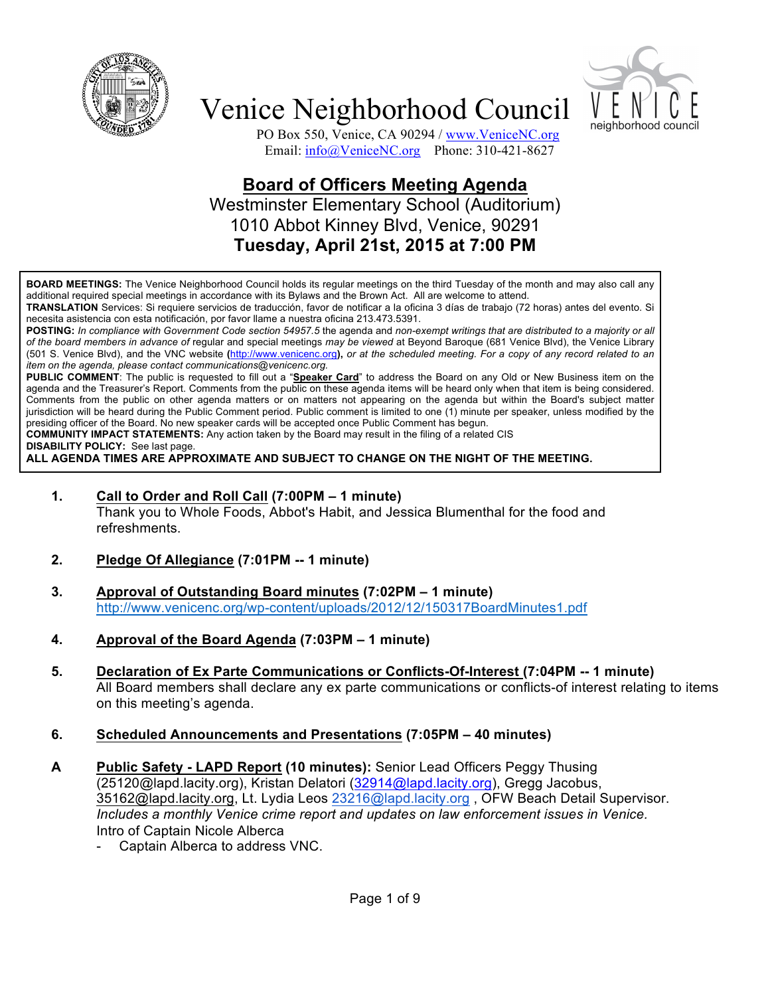



PO Box 550, Venice, CA 90294 / www.VeniceNC.org Email: info@VeniceNC.org Phone: 310-421-8627

## **Board of Officers Meeting Agenda** Westminster Elementary School (Auditorium) 1010 Abbot Kinney Blvd, Venice, 90291 **Tuesday, April 21st, 2015 at 7:00 PM**

**BOARD MEETINGS:** The Venice Neighborhood Council holds its regular meetings on the third Tuesday of the month and may also call any additional required special meetings in accordance with its Bylaws and the Brown Act. All are welcome to attend.

**TRANSLATION** Services: Si requiere servicios de traducción, favor de notificar a la oficina 3 días de trabajo (72 horas) antes del evento. Si necesita asistencia con esta notificación, por favor llame a nuestra oficina 213.473.5391.

**POSTING:** *In compliance with Government Code section 54957.5* the agenda and *non-exempt writings that are distributed to a majority or all of the board members in advance of* regular and special meetings *may be viewed* at Beyond Baroque (681 Venice Blvd), the Venice Library (501 S. Venice Blvd), and the VNC website **(**http://www.venicenc.org**),** *or at the scheduled meeting. For a copy of any record related to an item on the agenda, please contact communications@venicenc.org.*

**PUBLIC COMMENT**: The public is requested to fill out a "**Speaker Card**" to address the Board on any Old or New Business item on the agenda and the Treasurer's Report. Comments from the public on these agenda items will be heard only when that item is being considered. Comments from the public on other agenda matters or on matters not appearing on the agenda but within the Board's subject matter jurisdiction will be heard during the Public Comment period. Public comment is limited to one (1) minute per speaker, unless modified by the presiding officer of the Board. No new speaker cards will be accepted once Public Comment has begun.

**COMMUNITY IMPACT STATEMENTS:** Any action taken by the Board may result in the filing of a related CIS

**DISABILITY POLICY:** See last page.

**ALL AGENDA TIMES ARE APPROXIMATE AND SUBJECT TO CHANGE ON THE NIGHT OF THE MEETING.**

**1. Call to Order and Roll Call (7:00PM – 1 minute)**

Thank you to Whole Foods, Abbot's Habit, and Jessica Blumenthal for the food and refreshments.

- **2. Pledge Of Allegiance (7:01PM -- 1 minute)**
- **3. Approval of Outstanding Board minutes (7:02PM – 1 minute)** http://www.venicenc.org/wp-content/uploads/2012/12/150317BoardMinutes1.pdf
- **4. Approval of the Board Agenda (7:03PM – 1 minute)**
- **5. Declaration of Ex Parte Communications or Conflicts-Of-Interest (7:04PM -- 1 minute)**  All Board members shall declare any ex parte communications or conflicts-of interest relating to items on this meeting's agenda.
- **6. Scheduled Announcements and Presentations (7:05PM – 40 minutes)**
- **A Public Safety - LAPD Report (10 minutes):** Senior Lead Officers Peggy Thusing (25120@lapd.lacity.org), Kristan Delatori (32914@lapd.lacity.org), Gregg Jacobus, 35162@lapd.lacity.org, Lt. Lydia Leos 23216@lapd.lacity.org , OFW Beach Detail Supervisor. *Includes a monthly Venice crime report and updates on law enforcement issues in Venice.* Intro of Captain Nicole Alberca
	- Captain Alberca to address VNC.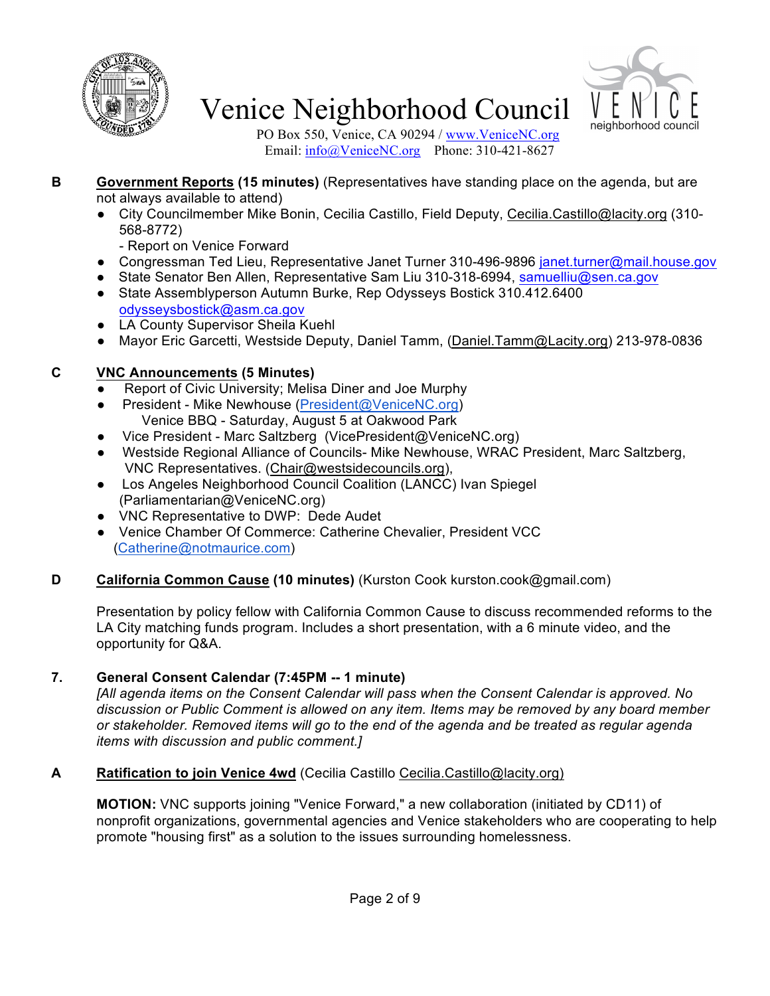



PO Box 550, Venice, CA 90294 / www.VeniceNC.org Email: info@VeniceNC.org Phone: 310-421-8627

- **B Government Reports (15 minutes)** (Representatives have standing place on the agenda, but are not always available to attend)
	- City Councilmember Mike Bonin, Cecilia Castillo, Field Deputy, Cecilia.Castillo@lacity.org (310-568-8772)
		- Report on Venice Forward
	- Congressman Ted Lieu, Representative Janet Turner 310-496-9896 janet.turner@mail.house.gov
	- State Senator Ben Allen, Representative Sam Liu 310-318-6994, samuelliu@sen.ca.gov
	- State Assemblyperson Autumn Burke, Rep Odysseys Bostick 310.412.6400 odysseysbostick@asm.ca.gov
	- LA County Supervisor Sheila Kuehl
	- Mayor Eric Garcetti, Westside Deputy, Daniel Tamm, (Daniel.Tamm@Lacity.org) 213-978-0836

### **C VNC Announcements (5 Minutes)**

- Report of Civic University; Melisa Diner and Joe Murphy
- President Mike Newhouse (President@VeniceNC.org) Venice BBQ - Saturday, August 5 at Oakwood Park
- Vice President Marc Saltzberg (VicePresident@VeniceNC.org)
- Westside Regional Alliance of Councils- Mike Newhouse, WRAC President, Marc Saltzberg, VNC Representatives. (Chair@westsidecouncils.org),
- Los Angeles Neighborhood Council Coalition (LANCC) Ivan Spiegel (Parliamentarian@VeniceNC.org)
- VNC Representative to DWP: Dede Audet
- Venice Chamber Of Commerce: Catherine Chevalier, President VCC (Catherine@notmaurice.com)

### **D California Common Cause (10 minutes)** (Kurston Cook kurston.cook@gmail.com)

Presentation by policy fellow with California Common Cause to discuss recommended reforms to the LA City matching funds program. Includes a short presentation, with a 6 minute video, and the opportunity for Q&A.

### **7. General Consent Calendar (7:45PM -- 1 minute)**

*[All agenda items on the Consent Calendar will pass when the Consent Calendar is approved. No discussion or Public Comment is allowed on any item. Items may be removed by any board member or stakeholder. Removed items will go to the end of the agenda and be treated as regular agenda items with discussion and public comment.]*

### **A Ratification to join Venice 4wd** (Cecilia Castillo Cecilia.Castillo@lacity.org)

**MOTION:** VNC supports joining "Venice Forward," a new collaboration (initiated by CD11) of nonprofit organizations, governmental agencies and Venice stakeholders who are cooperating to help promote "housing first" as a solution to the issues surrounding homelessness.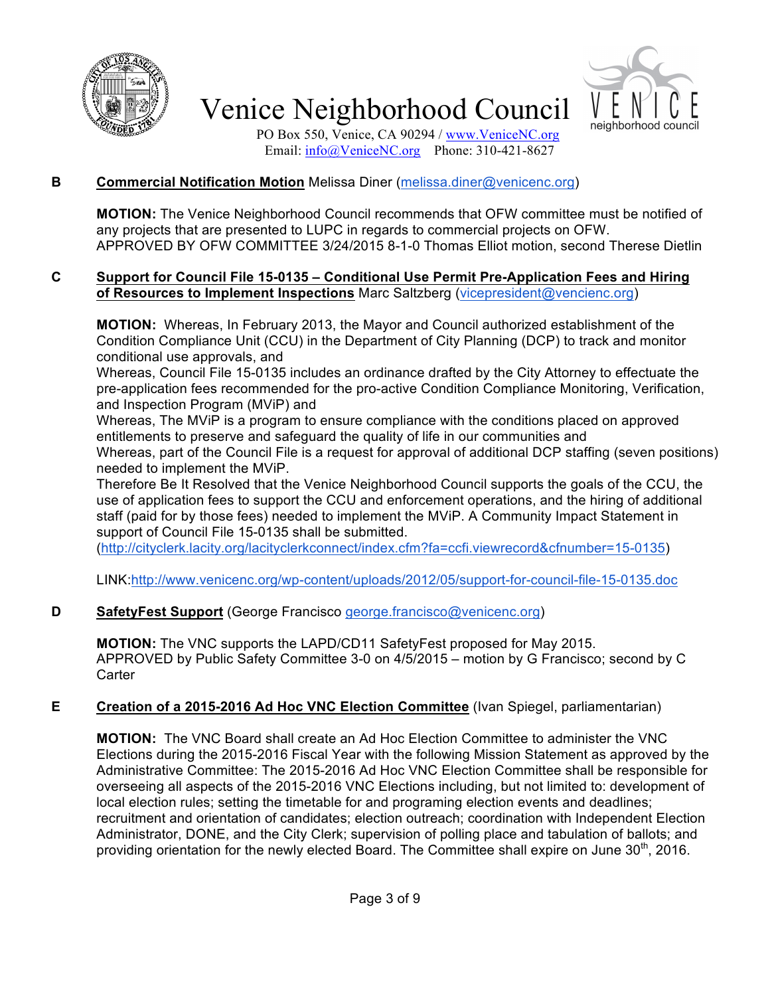



PO Box 550, Venice, CA 90294 / www.VeniceNC.org Email:  $\frac{info(@)$ VeniceNC.org Phone: 310-421-8627

#### **B Commercial Notification Motion** Melissa Diner (melissa.diner@venicenc.org)

**MOTION:** The Venice Neighborhood Council recommends that OFW committee must be notified of any projects that are presented to LUPC in regards to commercial projects on OFW. APPROVED BY OFW COMMITTEE 3/24/2015 8-1-0 Thomas Elliot motion, second Therese Dietlin

#### **C Support for Council File 15-0135 – Conditional Use Permit Pre-Application Fees and Hiring of Resources to Implement Inspections** Marc Saltzberg (vicepresident@vencienc.org)

**MOTION:** Whereas, In February 2013, the Mayor and Council authorized establishment of the Condition Compliance Unit (CCU) in the Department of City Planning (DCP) to track and monitor conditional use approvals, and

Whereas, Council File 15-0135 includes an ordinance drafted by the City Attorney to effectuate the pre-application fees recommended for the pro-active Condition Compliance Monitoring, Verification, and Inspection Program (MViP) and

Whereas, The MViP is a program to ensure compliance with the conditions placed on approved entitlements to preserve and safeguard the quality of life in our communities and Whereas, part of the Council File is a request for approval of additional DCP staffing (seven positions) needed to implement the MViP.

Therefore Be It Resolved that the Venice Neighborhood Council supports the goals of the CCU, the use of application fees to support the CCU and enforcement operations, and the hiring of additional staff (paid for by those fees) needed to implement the MViP. A Community Impact Statement in support of Council File 15-0135 shall be submitted.

(http://cityclerk.lacity.org/lacityclerkconnect/index.cfm?fa=ccfi.viewrecord&cfnumber=15-0135)

LINK:http://www.venicenc.org/wp-content/uploads/2012/05/support-for-council-file-15-0135.doc

#### **D SafetyFest Support** (George Francisco george.francisco@venicenc.org)

**MOTION:** The VNC supports the LAPD/CD11 SafetyFest proposed for May 2015. APPROVED by Public Safety Committee 3-0 on 4/5/2015 – motion by G Francisco; second by C **Carter** 

#### **E Creation of a 2015-2016 Ad Hoc VNC Election Committee** (Ivan Spiegel, parliamentarian)

**MOTION:** The VNC Board shall create an Ad Hoc Election Committee to administer the VNC Elections during the 2015-2016 Fiscal Year with the following Mission Statement as approved by the Administrative Committee: The 2015-2016 Ad Hoc VNC Election Committee shall be responsible for overseeing all aspects of the 2015-2016 VNC Elections including, but not limited to: development of local election rules; setting the timetable for and programing election events and deadlines; recruitment and orientation of candidates; election outreach; coordination with Independent Election Administrator, DONE, and the City Clerk; supervision of polling place and tabulation of ballots; and providing orientation for the newly elected Board. The Committee shall expire on June  $30<sup>th</sup>$ , 2016.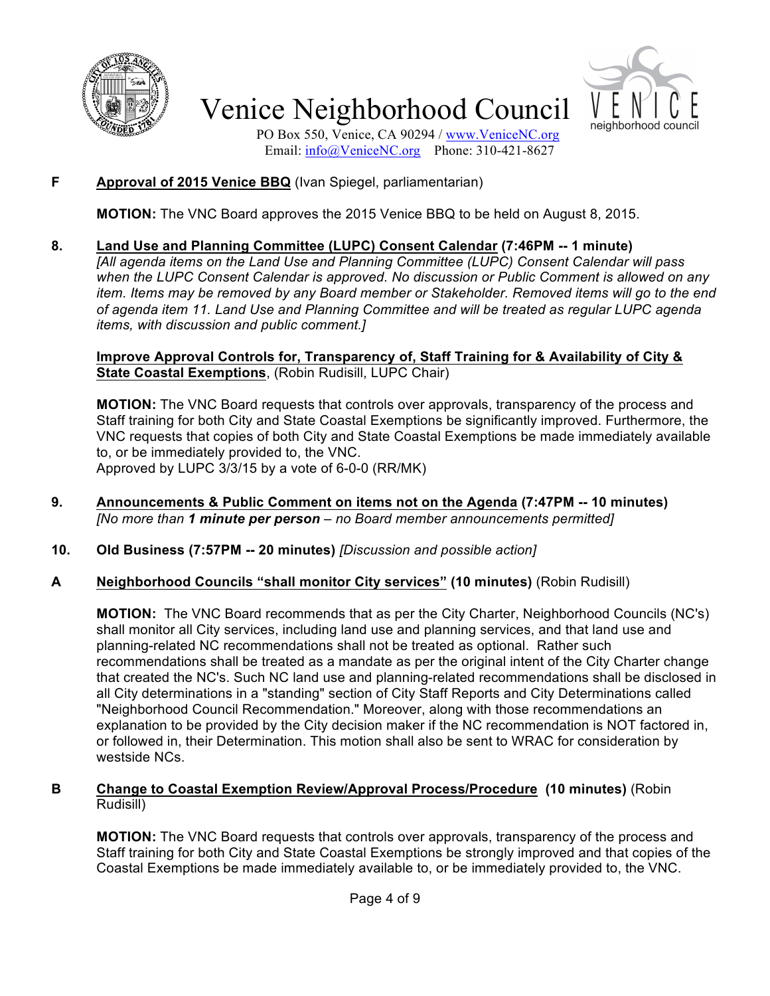



PO Box 550, Venice, CA 90294 / www.VeniceNC.org Email:  $\frac{info(@)$ VeniceNC.org Phone: 310-421-8627

### **F Approval of 2015 Venice BBQ** (Ivan Spiegel, parliamentarian)

**MOTION:** The VNC Board approves the 2015 Venice BBQ to be held on August 8, 2015.

### **8. Land Use and Planning Committee (LUPC) Consent Calendar (7:46PM -- 1 minute)**

*[All agenda items on the Land Use and Planning Committee (LUPC) Consent Calendar will pass when the LUPC Consent Calendar is approved. No discussion or Public Comment is allowed on any item. Items may be removed by any Board member or Stakeholder. Removed items will go to the end of agenda item 11. Land Use and Planning Committee and will be treated as regular LUPC agenda items, with discussion and public comment.]*

**Improve Approval Controls for, Transparency of, Staff Training for & Availability of City & State Coastal Exemptions**, (Robin Rudisill, LUPC Chair)

**MOTION:** The VNC Board requests that controls over approvals, transparency of the process and Staff training for both City and State Coastal Exemptions be significantly improved. Furthermore, the VNC requests that copies of both City and State Coastal Exemptions be made immediately available to, or be immediately provided to, the VNC. Approved by LUPC 3/3/15 by a vote of 6-0-0 (RR/MK)

- **9. Announcements & Public Comment on items not on the Agenda (7:47PM -- 10 minutes)** *[No more than 1 minute per person – no Board member announcements permitted]*
- **10. Old Business (7:57PM -- 20 minutes)** *[Discussion and possible action]*
- **A Neighborhood Councils "shall monitor City services" (10 minutes)** (Robin Rudisill)

**MOTION:** The VNC Board recommends that as per the City Charter, Neighborhood Councils (NC's) shall monitor all City services, including land use and planning services, and that land use and planning-related NC recommendations shall not be treated as optional. Rather such recommendations shall be treated as a mandate as per the original intent of the City Charter change that created the NC's. Such NC land use and planning-related recommendations shall be disclosed in all City determinations in a "standing" section of City Staff Reports and City Determinations called "Neighborhood Council Recommendation." Moreover, along with those recommendations an explanation to be provided by the City decision maker if the NC recommendation is NOT factored in, or followed in, their Determination. This motion shall also be sent to WRAC for consideration by westside NCs.

#### **B Change to Coastal Exemption Review/Approval Process/Procedure (10 minutes)** (Robin Rudisill)

**MOTION:** The VNC Board requests that controls over approvals, transparency of the process and Staff training for both City and State Coastal Exemptions be strongly improved and that copies of the Coastal Exemptions be made immediately available to, or be immediately provided to, the VNC.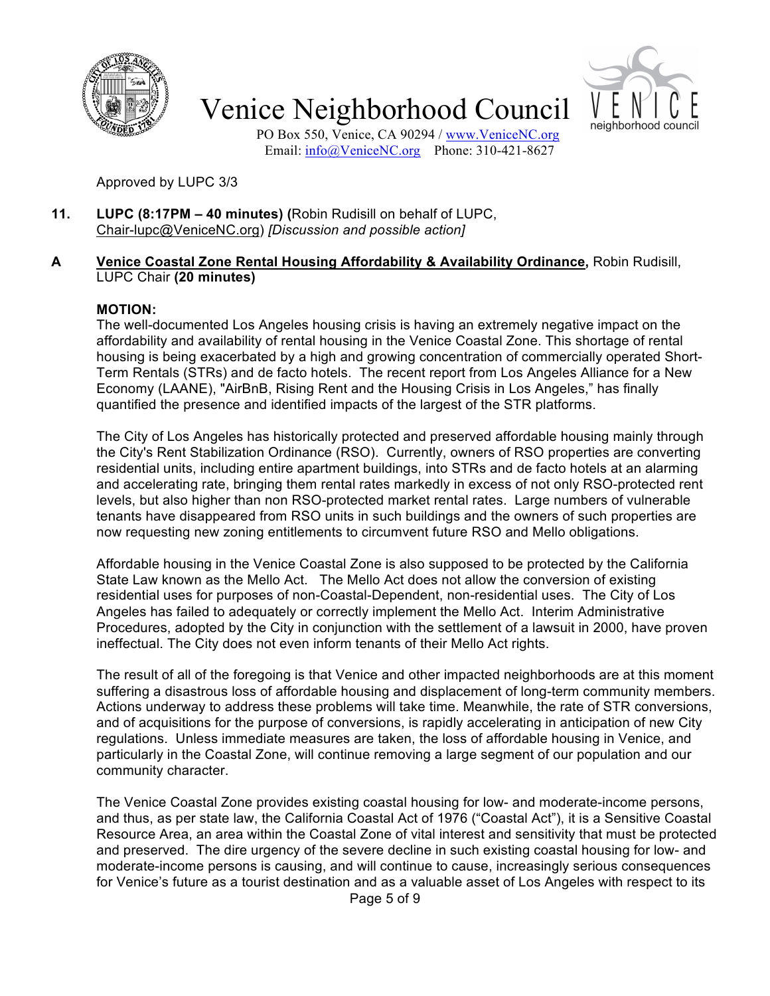



PO Box 550, Venice, CA 90294 / www.VeniceNC.org Email: info@VeniceNC.org Phone: 310-421-8627

Approved by LUPC 3/3

**11. LUPC (8:17PM – 40 minutes) (**Robin Rudisill on behalf of LUPC, Chair-lupc@VeniceNC.org) *[Discussion and possible action]*

#### **A Venice Coastal Zone Rental Housing Affordability & Availability Ordinance,** Robin Rudisill, LUPC Chair **(20 minutes)**

#### **MOTION:**

The well-documented Los Angeles housing crisis is having an extremely negative impact on the affordability and availability of rental housing in the Venice Coastal Zone. This shortage of rental housing is being exacerbated by a high and growing concentration of commercially operated Short-Term Rentals (STRs) and de facto hotels. The recent report from Los Angeles Alliance for a New Economy (LAANE), "AirBnB, Rising Rent and the Housing Crisis in Los Angeles," has finally quantified the presence and identified impacts of the largest of the STR platforms.

The City of Los Angeles has historically protected and preserved affordable housing mainly through the City's Rent Stabilization Ordinance (RSO). Currently, owners of RSO properties are converting residential units, including entire apartment buildings, into STRs and de facto hotels at an alarming and accelerating rate, bringing them rental rates markedly in excess of not only RSO-protected rent levels, but also higher than non RSO-protected market rental rates. Large numbers of vulnerable tenants have disappeared from RSO units in such buildings and the owners of such properties are now requesting new zoning entitlements to circumvent future RSO and Mello obligations.

Affordable housing in the Venice Coastal Zone is also supposed to be protected by the California State Law known as the Mello Act. The Mello Act does not allow the conversion of existing residential uses for purposes of non-Coastal-Dependent, non-residential uses. The City of Los Angeles has failed to adequately or correctly implement the Mello Act. Interim Administrative Procedures, adopted by the City in conjunction with the settlement of a lawsuit in 2000, have proven ineffectual. The City does not even inform tenants of their Mello Act rights.

The result of all of the foregoing is that Venice and other impacted neighborhoods are at this moment suffering a disastrous loss of affordable housing and displacement of long-term community members. Actions underway to address these problems will take time. Meanwhile, the rate of STR conversions, and of acquisitions for the purpose of conversions, is rapidly accelerating in anticipation of new City regulations. Unless immediate measures are taken, the loss of affordable housing in Venice, and particularly in the Coastal Zone, will continue removing a large segment of our population and our community character.

The Venice Coastal Zone provides existing coastal housing for low- and moderate-income persons, and thus, as per state law, the California Coastal Act of 1976 ("Coastal Act"), it is a Sensitive Coastal Resource Area, an area within the Coastal Zone of vital interest and sensitivity that must be protected and preserved. The dire urgency of the severe decline in such existing coastal housing for low- and moderate-income persons is causing, and will continue to cause, increasingly serious consequences for Venice's future as a tourist destination and as a valuable asset of Los Angeles with respect to its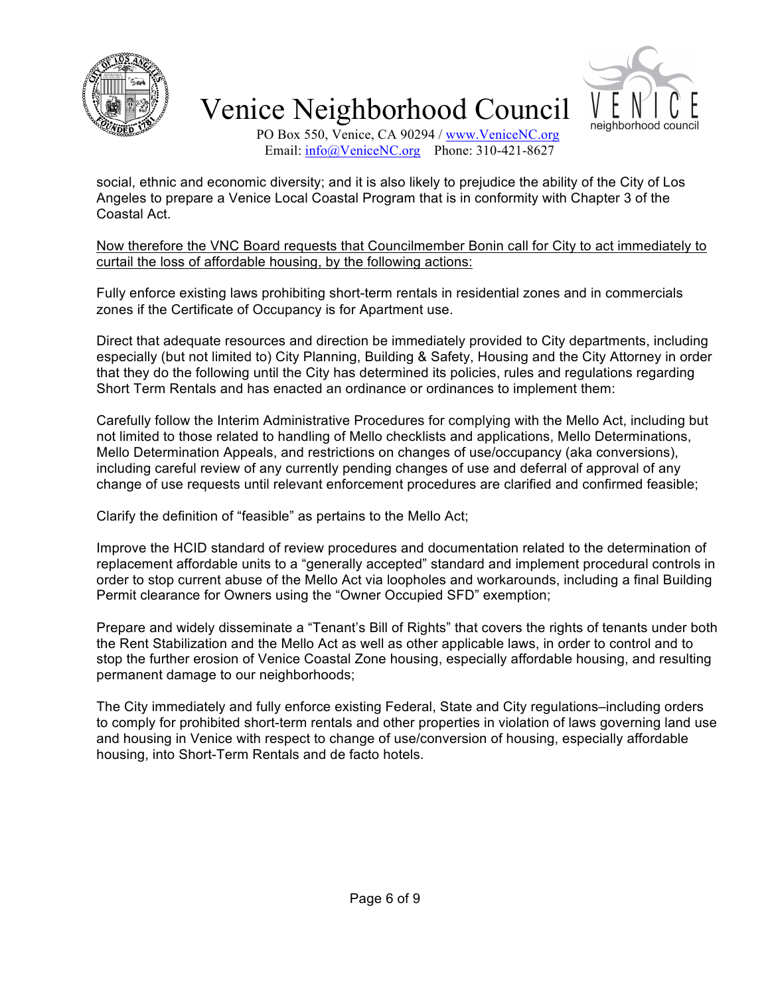



PO Box 550, Venice, CA 90294 / www.VeniceNC.org Email: info@VeniceNC.org Phone: 310-421-8627

social, ethnic and economic diversity; and it is also likely to prejudice the ability of the City of Los Angeles to prepare a Venice Local Coastal Program that is in conformity with Chapter 3 of the Coastal Act.

Now therefore the VNC Board requests that Councilmember Bonin call for City to act immediately to curtail the loss of affordable housing, by the following actions:

Fully enforce existing laws prohibiting short-term rentals in residential zones and in commercials zones if the Certificate of Occupancy is for Apartment use.

Direct that adequate resources and direction be immediately provided to City departments, including especially (but not limited to) City Planning, Building & Safety, Housing and the City Attorney in order that they do the following until the City has determined its policies, rules and regulations regarding Short Term Rentals and has enacted an ordinance or ordinances to implement them:

Carefully follow the Interim Administrative Procedures for complying with the Mello Act, including but not limited to those related to handling of Mello checklists and applications, Mello Determinations, Mello Determination Appeals, and restrictions on changes of use/occupancy (aka conversions), including careful review of any currently pending changes of use and deferral of approval of any change of use requests until relevant enforcement procedures are clarified and confirmed feasible;

Clarify the definition of "feasible" as pertains to the Mello Act;

Improve the HCID standard of review procedures and documentation related to the determination of replacement affordable units to a "generally accepted" standard and implement procedural controls in order to stop current abuse of the Mello Act via loopholes and workarounds, including a final Building Permit clearance for Owners using the "Owner Occupied SFD" exemption;

Prepare and widely disseminate a "Tenant's Bill of Rights" that covers the rights of tenants under both the Rent Stabilization and the Mello Act as well as other applicable laws, in order to control and to stop the further erosion of Venice Coastal Zone housing, especially affordable housing, and resulting permanent damage to our neighborhoods;

The City immediately and fully enforce existing Federal, State and City regulations–including orders to comply for prohibited short-term rentals and other properties in violation of laws governing land use and housing in Venice with respect to change of use/conversion of housing, especially affordable housing, into Short-Term Rentals and de facto hotels.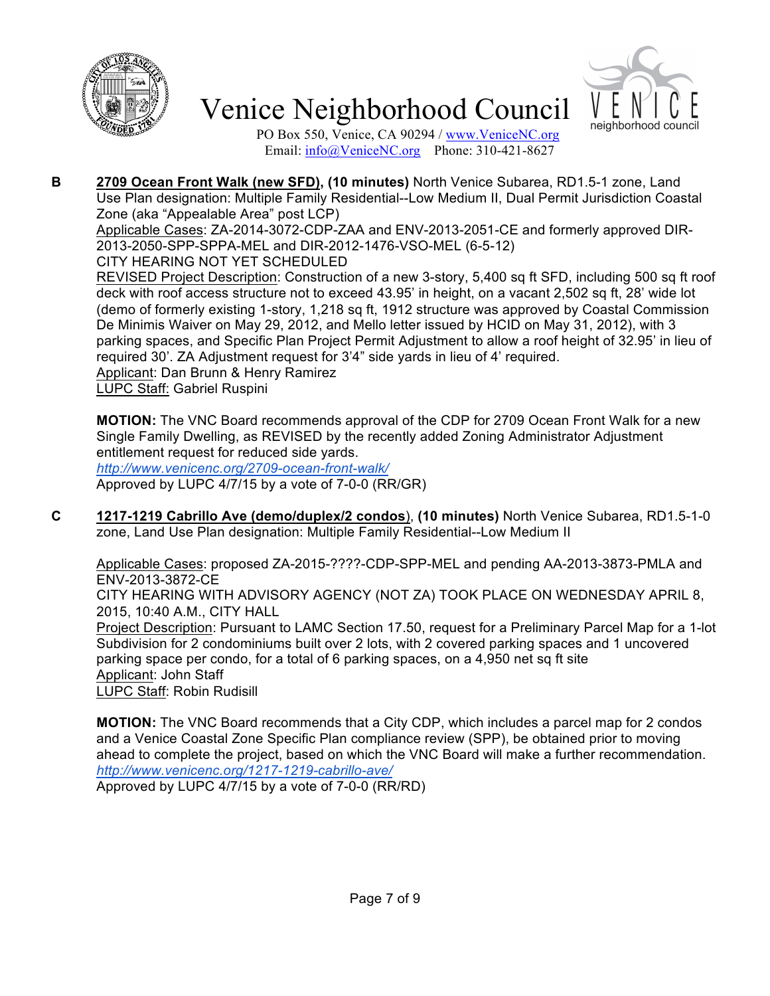



PO Box 550, Venice, CA 90294 / www.VeniceNC.org Email:  $\frac{info(@)$ VeniceNC.org Phone: 310-421-8627

**B 2709 Ocean Front Walk (new SFD), (10 minutes)** North Venice Subarea, RD1.5-1 zone, Land Use Plan designation: Multiple Family Residential--Low Medium II, Dual Permit Jurisdiction Coastal Zone (aka "Appealable Area" post LCP)

Applicable Cases: ZA-2014-3072-CDP-ZAA and ENV-2013-2051-CE and formerly approved DIR-2013-2050-SPP-SPPA-MEL and DIR-2012-1476-VSO-MEL (6-5-12)

CITY HEARING NOT YET SCHEDULED

REVISED Project Description: Construction of a new 3-story, 5,400 sq ft SFD, including 500 sq ft roof deck with roof access structure not to exceed 43.95' in height, on a vacant 2,502 sq ft, 28' wide lot (demo of formerly existing 1-story, 1,218 sq ft, 1912 structure was approved by Coastal Commission De Minimis Waiver on May 29, 2012, and Mello letter issued by HCID on May 31, 2012), with 3 parking spaces, and Specific Plan Project Permit Adjustment to allow a roof height of 32.95' in lieu of required 30'. ZA Adjustment request for 3'4" side yards in lieu of 4' required. Applicant: Dan Brunn & Henry Ramirez LUPC Staff: Gabriel Ruspini

**MOTION:** The VNC Board recommends approval of the CDP for 2709 Ocean Front Walk for a new Single Family Dwelling, as REVISED by the recently added Zoning Administrator Adjustment entitlement request for reduced side yards.

*http://www.venicenc.org/2709-ocean-front-walk/* Approved by LUPC 4/7/15 by a vote of 7-0-0 (RR/GR)

**C 1217-1219 Cabrillo Ave (demo/duplex/2 condos**), **(10 minutes)** North Venice Subarea, RD1.5-1-0 zone, Land Use Plan designation: Multiple Family Residential--Low Medium II

Applicable Cases: proposed ZA-2015-????-CDP-SPP-MEL and pending AA-2013-3873-PMLA and ENV-2013-3872-CE

CITY HEARING WITH ADVISORY AGENCY (NOT ZA) TOOK PLACE ON WEDNESDAY APRIL 8, 2015, 10:40 A.M., CITY HALL

Project Description: Pursuant to LAMC Section 17.50, request for a Preliminary Parcel Map for a 1-lot Subdivision for 2 condominiums built over 2 lots, with 2 covered parking spaces and 1 uncovered parking space per condo, for a total of 6 parking spaces, on a 4,950 net sq ft site Applicant: John Staff LUPC Staff: Robin Rudisill

**MOTION:** The VNC Board recommends that a City CDP, which includes a parcel map for 2 condos and a Venice Coastal Zone Specific Plan compliance review (SPP), be obtained prior to moving ahead to complete the project, based on which the VNC Board will make a further recommendation. *http://www.venicenc.org/1217-1219-cabrillo-ave/*

Approved by LUPC 4/7/15 by a vote of 7-0-0 (RR/RD)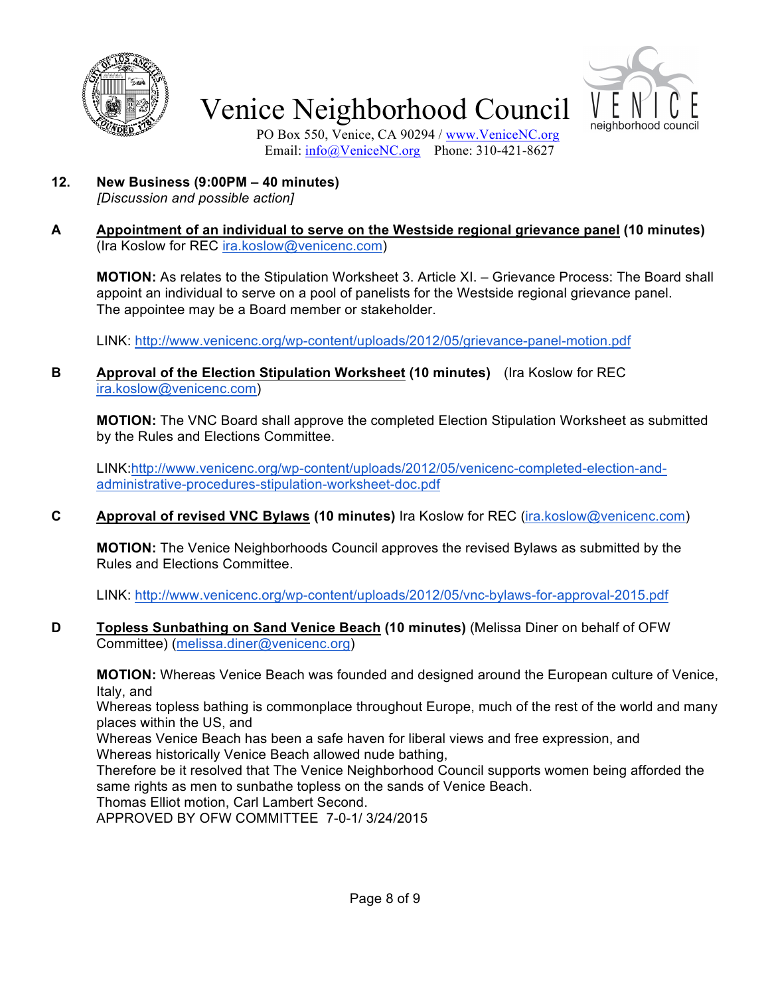



PO Box 550, Venice, CA 90294 / www.VeniceNC.org Email: info@VeniceNC.org Phone: 310-421-8627

**12. New Business (9:00PM – 40 minutes)**

*[Discussion and possible action]*

#### **A Appointment of an individual to serve on the Westside regional grievance panel (10 minutes)**  (Ira Koslow for REC ira.koslow@venicenc.com)

**MOTION:** As relates to the Stipulation Worksheet 3. Article XI. – Grievance Process: The Board shall appoint an individual to serve on a pool of panelists for the Westside regional grievance panel. The appointee may be a Board member or stakeholder.

LINK: http://www.venicenc.org/wp-content/uploads/2012/05/grievance-panel-motion.pdf

**B Approval of the Election Stipulation Worksheet (10 minutes)** (Ira Koslow for REC ira.koslow@venicenc.com)

**MOTION:** The VNC Board shall approve the completed Election Stipulation Worksheet as submitted by the Rules and Elections Committee.

LINK:http://www.venicenc.org/wp-content/uploads/2012/05/venicenc-completed-election-andadministrative-procedures-stipulation-worksheet-doc.pdf

**C Approval of revised VNC Bylaws (10 minutes)** Ira Koslow for REC (ira.koslow@venicenc.com)

**MOTION:** The Venice Neighborhoods Council approves the revised Bylaws as submitted by the Rules and Elections Committee.

LINK: http://www.venicenc.org/wp-content/uploads/2012/05/vnc-bylaws-for-approval-2015.pdf

**D Topless Sunbathing on Sand Venice Beach (10 minutes)** (Melissa Diner on behalf of OFW Committee) (melissa.diner@venicenc.org)

**MOTION:** Whereas Venice Beach was founded and designed around the European culture of Venice, Italy, and

Whereas topless bathing is commonplace throughout Europe, much of the rest of the world and many places within the US, and

Whereas Venice Beach has been a safe haven for liberal views and free expression, and Whereas historically Venice Beach allowed nude bathing,

Therefore be it resolved that The Venice Neighborhood Council supports women being afforded the same rights as men to sunbathe topless on the sands of Venice Beach.

Thomas Elliot motion, Carl Lambert Second.

APPROVED BY OFW COMMITTEE 7-0-1/ 3/24/2015